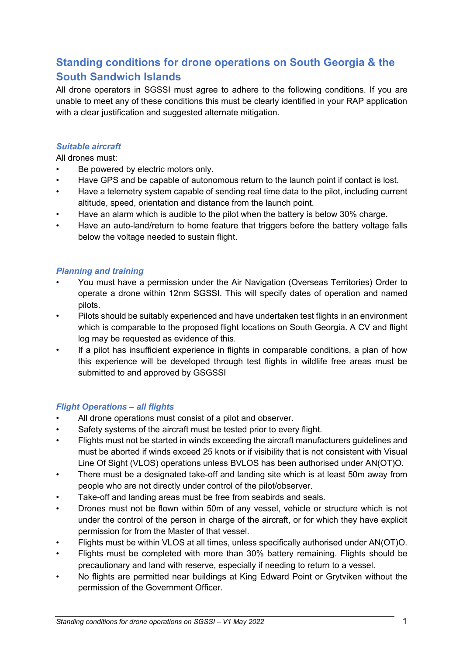# **Standing conditions for drone operations on South Georgia & the South Sandwich Islands**

All drone operators in SGSSI must agree to adhere to the following conditions. If you are unable to meet any of these conditions this must be clearly identified in your RAP application with a clear justification and suggested alternate mitigation.

### *Suitable aircraft*

All drones must:

- Be powered by electric motors only.
- Have GPS and be capable of autonomous return to the launch point if contact is lost.
- Have a telemetry system capable of sending real time data to the pilot, including current altitude, speed, orientation and distance from the launch point.
- Have an alarm which is audible to the pilot when the battery is below 30% charge.
- Have an auto-land/return to home feature that triggers before the battery voltage falls below the voltage needed to sustain flight.

#### *Planning and training*

- You must have a permission under the Air Navigation (Overseas Territories) Order to operate a drone within 12nm SGSSI. This will specify dates of operation and named pilots.
- Pilots should be suitably experienced and have undertaken test flights in an environment which is comparable to the proposed flight locations on South Georgia. A CV and flight log may be requested as evidence of this.
- If a pilot has insufficient experience in flights in comparable conditions, a plan of how this experience will be developed through test flights in wildlife free areas must be submitted to and approved by GSGSSI

### *Flight Operations – all flights*

- All drone operations must consist of a pilot and observer.
- Safety systems of the aircraft must be tested prior to every flight.
- Flights must not be started in winds exceeding the aircraft manufacturers guidelines and must be aborted if winds exceed 25 knots or if visibility that is not consistent with Visual Line Of Sight (VLOS) operations unless BVLOS has been authorised under AN(OT)O.
- There must be a designated take-off and landing site which is at least 50m away from people who are not directly under control of the pilot/observer.
- Take-off and landing areas must be free from seabirds and seals.
- Drones must not be flown within 50m of any vessel, vehicle or structure which is not under the control of the person in charge of the aircraft, or for which they have explicit permission for from the Master of that vessel.
- Flights must be within VLOS at all times, unless specifically authorised under AN(OT)O.
- Flights must be completed with more than 30% battery remaining. Flights should be precautionary and land with reserve, especially if needing to return to a vessel.
- No flights are permitted near buildings at King Edward Point or Grytviken without the permission of the Government Officer.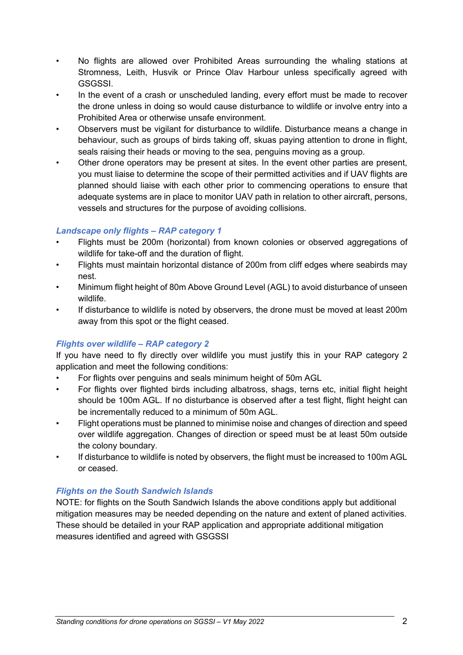- No flights are allowed over Prohibited Areas surrounding the whaling stations at Stromness, Leith, Husvik or Prince Olav Harbour unless specifically agreed with GSGSSI.
- In the event of a crash or unscheduled landing, every effort must be made to recover the drone unless in doing so would cause disturbance to wildlife or involve entry into a Prohibited Area or otherwise unsafe environment.
- Observers must be vigilant for disturbance to wildlife. Disturbance means a change in behaviour, such as groups of birds taking off, skuas paying attention to drone in flight, seals raising their heads or moving to the sea, penguins moving as a group.
- Other drone operators may be present at sites. In the event other parties are present, you must liaise to determine the scope of their permitted activities and if UAV flights are planned should liaise with each other prior to commencing operations to ensure that adequate systems are in place to monitor UAV path in relation to other aircraft, persons, vessels and structures for the purpose of avoiding collisions.

### *Landscape only flights – RAP category 1*

- Flights must be 200m (horizontal) from known colonies or observed aggregations of wildlife for take-off and the duration of flight.
- Flights must maintain horizontal distance of 200m from cliff edges where seabirds may nest.
- Minimum flight height of 80m Above Ground Level (AGL) to avoid disturbance of unseen wildlife.
- If disturbance to wildlife is noted by observers, the drone must be moved at least 200m away from this spot or the flight ceased.

# *Flights over wildlife – RAP category 2*

If you have need to fly directly over wildlife you must justify this in your RAP category 2 application and meet the following conditions:

- For flights over penguins and seals minimum height of 50m AGL
- For flights over flighted birds including albatross, shags, terns etc, initial flight height should be 100m AGL. If no disturbance is observed after a test flight, flight height can be incrementally reduced to a minimum of 50m AGL.
- Flight operations must be planned to minimise noise and changes of direction and speed over wildlife aggregation. Changes of direction or speed must be at least 50m outside the colony boundary.
- If disturbance to wildlife is noted by observers, the flight must be increased to 100m AGL or ceased.

# *Flights on the South Sandwich Islands*

NOTE: for flights on the South Sandwich Islands the above conditions apply but additional mitigation measures may be needed depending on the nature and extent of planed activities. These should be detailed in your RAP application and appropriate additional mitigation measures identified and agreed with GSGSSI